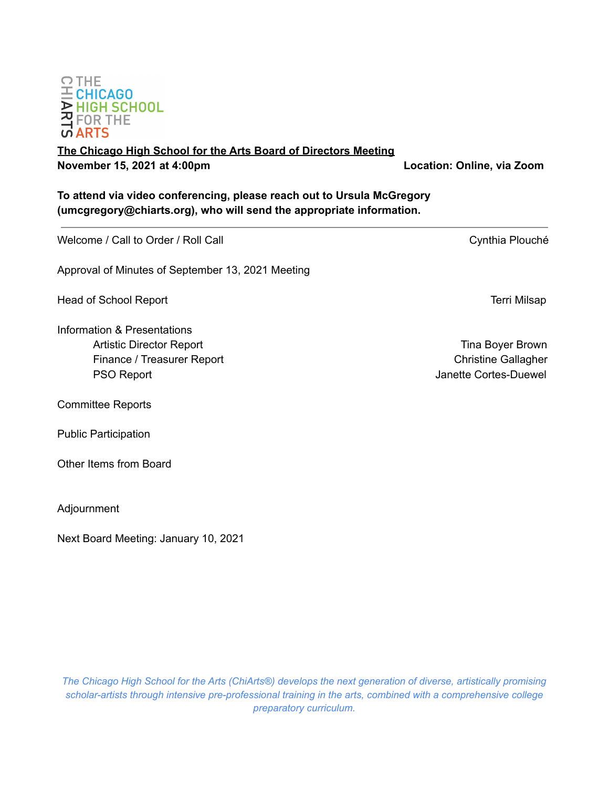

**(umcgregory@chiarts.org), who will send the appropriate information.**

Approval of Minutes of September 13, 2021 Meeting Head of School Report **Terri Milsap** and the second second second second second second second second second second second second second second second second second second second second second second second second second se Information & Presentations Artistic Director Report **Time Boyer Brown** Finance / Treasurer Report **Christian Christian Christian Christian Christian Christian Christian Christian Christian Christian Christian Christian Christian Christian Christian Christian Christian Christian Christian Chri** PSO Report **PSO Report**  $\blacksquare$ Committee Reports Public Participation Other Items from Board

**To attend via video conferencing, please reach out to Ursula McGregory**



**The Chicago High School for the Arts Board of Directors Meeting November 15, 2021 at 4:00pm Location: Online, via Zoom**

Welcome / Call to Order / Roll Call Cynthia Plouché

Adjournment

Next Board Meeting: January 10, 2021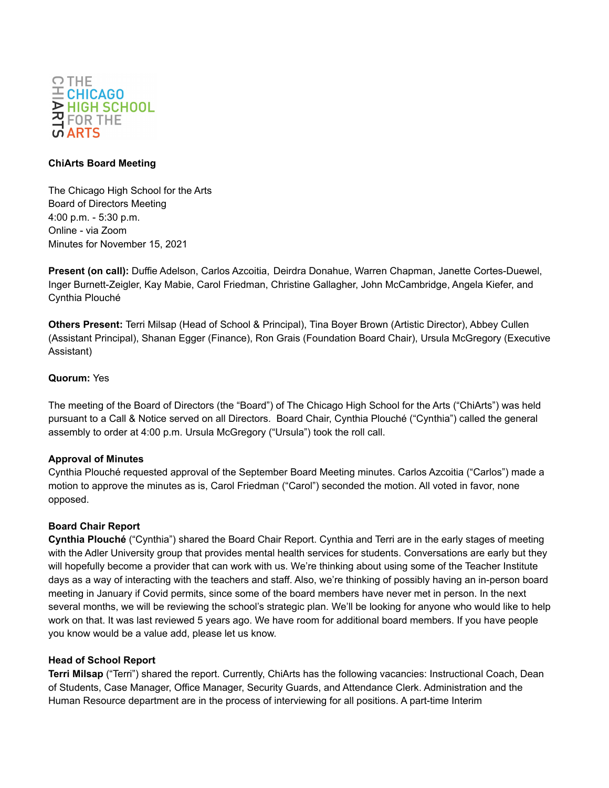

## **ChiArts Board Meeting**

The Chicago High School for the Arts Board of Directors Meeting 4:00 p.m. - 5:30 p.m. Online - via Zoom Minutes for November 15, 2021

**Present (on call):** Duffie Adelson, Carlos Azcoitia, Deirdra Donahue, Warren Chapman, Janette Cortes-Duewel, Inger Burnett-Zeigler, Kay Mabie, Carol Friedman, Christine Gallagher, John McCambridge, Angela Kiefer, and Cynthia Plouché

**Others Present:** Terri Milsap (Head of School & Principal), Tina Boyer Brown (Artistic Director), Abbey Cullen (Assistant Principal), Shanan Egger (Finance), Ron Grais (Foundation Board Chair), Ursula McGregory (Executive Assistant)

# **Quorum:** Yes

The meeting of the Board of Directors (the "Board") of The Chicago High School for the Arts ("ChiArts") was held pursuant to a Call & Notice served on all Directors. Board Chair, Cynthia Plouché ("Cynthia") called the general assembly to order at 4:00 p.m. Ursula McGregory ("Ursula") took the roll call.

## **Approval of Minutes**

Cynthia Plouché requested approval of the September Board Meeting minutes. Carlos Azcoitia ("Carlos") made a motion to approve the minutes as is, Carol Friedman ("Carol") seconded the motion. All voted in favor, none opposed.

## **Board Chair Report**

**Cynthia Plouché** ("Cynthia") shared the Board Chair Report. Cynthia and Terri are in the early stages of meeting with the Adler University group that provides mental health services for students. Conversations are early but they will hopefully become a provider that can work with us. We're thinking about using some of the Teacher Institute days as a way of interacting with the teachers and staff. Also, we're thinking of possibly having an in-person board meeting in January if Covid permits, since some of the board members have never met in person. In the next several months, we will be reviewing the school's strategic plan. We'll be looking for anyone who would like to help work on that. It was last reviewed 5 years ago. We have room for additional board members. If you have people you know would be a value add, please let us know.

## **Head of School Report**

**Terri Milsap** ("Terri") shared the report. Currently, ChiArts has the following vacancies: Instructional Coach, Dean of Students, Case Manager, Office Manager, Security Guards, and Attendance Clerk. Administration and the Human Resource department are in the process of interviewing for all positions. A part-time Interim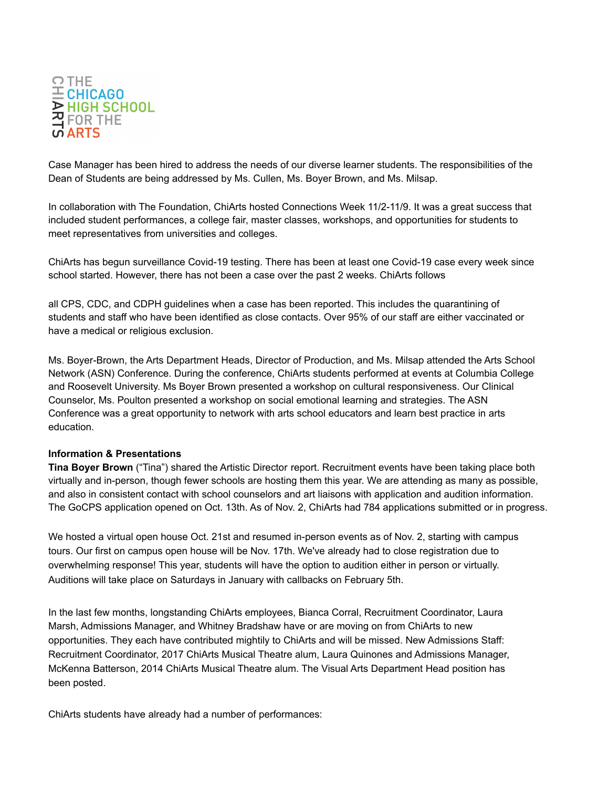

Case Manager has been hired to address the needs of our diverse learner students. The responsibilities of the Dean of Students are being addressed by Ms. Cullen, Ms. Boyer Brown, and Ms. Milsap.

In collaboration with The Foundation, ChiArts hosted Connections Week 11/2-11/9. It was a great success that included student performances, a college fair, master classes, workshops, and opportunities for students to meet representatives from universities and colleges.

ChiArts has begun surveillance Covid-19 testing. There has been at least one Covid-19 case every week since school started. However, there has not been a case over the past 2 weeks. ChiArts follows

all CPS, CDC, and CDPH guidelines when a case has been reported. This includes the quarantining of students and staff who have been identified as close contacts. Over 95% of our staff are either vaccinated or have a medical or religious exclusion.

Ms. Boyer-Brown, the Arts Department Heads, Director of Production, and Ms. Milsap attended the Arts School Network (ASN) Conference. During the conference, ChiArts students performed at events at Columbia College and Roosevelt University. Ms Boyer Brown presented a workshop on cultural responsiveness. Our Clinical Counselor, Ms. Poulton presented a workshop on social emotional learning and strategies. The ASN Conference was a great opportunity to network with arts school educators and learn best practice in arts education.

#### **Information & Presentations**

**Tina Boyer Brown** ("Tina") shared the Artistic Director report. Recruitment events have been taking place both virtually and in-person, though fewer schools are hosting them this year. We are attending as many as possible, and also in consistent contact with school counselors and art liaisons with application and audition information. The GoCPS application opened on Oct. 13th. As of Nov. 2, ChiArts had 784 applications submitted or in progress.

We hosted a virtual open house Oct. 21st and resumed in-person events as of Nov. 2, starting with campus tours. Our first on campus open house will be Nov. 17th. We've already had to close registration due to overwhelming response! This year, students will have the option to audition either in person or virtually. Auditions will take place on Saturdays in January with callbacks on February 5th.

In the last few months, longstanding ChiArts employees, Bianca Corral, Recruitment Coordinator, Laura Marsh, Admissions Manager, and Whitney Bradshaw have or are moving on from ChiArts to new opportunities. They each have contributed mightily to ChiArts and will be missed. New Admissions Staff: Recruitment Coordinator, 2017 ChiArts Musical Theatre alum, Laura Quinones and Admissions Manager, McKenna Batterson, 2014 ChiArts Musical Theatre alum. The Visual Arts Department Head position has been posted.

ChiArts students have already had a number of performances: